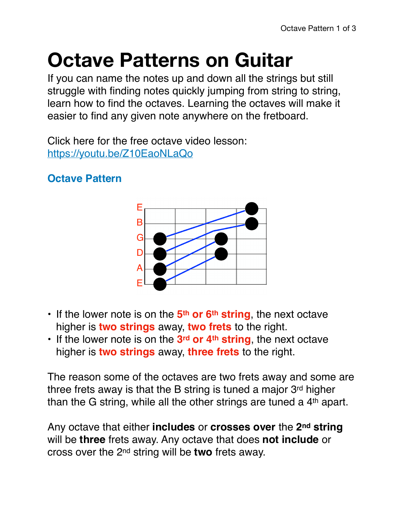## **Octave Patterns on Guitar**

If you can name the notes up and down all the strings but still struggle with finding notes quickly jumping from string to string, learn how to find the octaves. Learning the octaves will make it easier to find any given note anywhere on the fretboard.

Click here for the free octave video lesson: <https://youtu.be/Z10EaoNLaQo>

## **Octave Pattern**



- If the lower note is on the **5th or 6th string**, the next octave higher is **two strings** away, **two frets** to the right.
- If the lower note is on the **3rd or 4th string**, the next octave higher is **two strings** away, **three frets** to the right.

The reason some of the octaves are two frets away and some are three frets away is that the B string is tuned a major 3rd higher than the G string, while all the other strings are tuned a 4<sup>th</sup> apart.

Any octave that either **includes** or **crosses over** the **2nd string** will be **three** frets away. Any octave that does **not include** or cross over the 2nd string will be **two** frets away.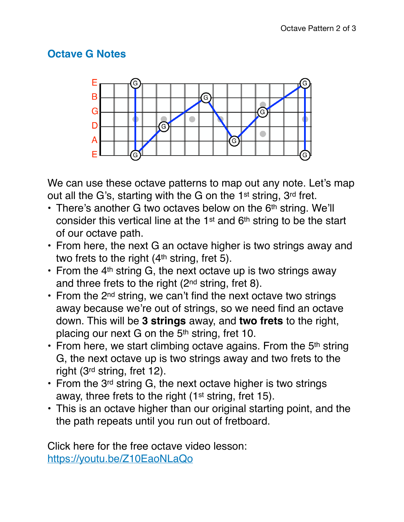## **Octave G Notes**



We can use these octave patterns to map out any note. Let's map out all the G's, starting with the G on the 1st string, 3rd fret.

- There's another G two octaves below on the 6<sup>th</sup> string. We'll consider this vertical line at the 1<sup>st</sup> and 6<sup>th</sup> string to be the start of our octave path.
- From here, the next G an octave higher is two strings away and two frets to the right (4<sup>th</sup> string, fret 5).
- From the  $4<sup>th</sup>$  string G, the next octave up is two strings away and three frets to the right (2nd string, fret 8).
- $\cdot$  From the 2<sup>nd</sup> string, we can't find the next octave two strings away because we're out of strings, so we need find an octave down. This will be **3 strings** away, and **two frets** to the right, placing our next G on the 5th string, fret 10.
- From here, we start climbing octave agains. From the  $5<sup>th</sup>$  string G, the next octave up is two strings away and two frets to the right (3rd string, fret 12).
- From the 3<sup>rd</sup> string G, the next octave higher is two strings away, three frets to the right (1<sup>st</sup> string, fret 15).
- This is an octave higher than our original starting point, and the the path repeats until you run out of fretboard.

Click here for the free octave video lesson: <https://youtu.be/Z10EaoNLaQo>